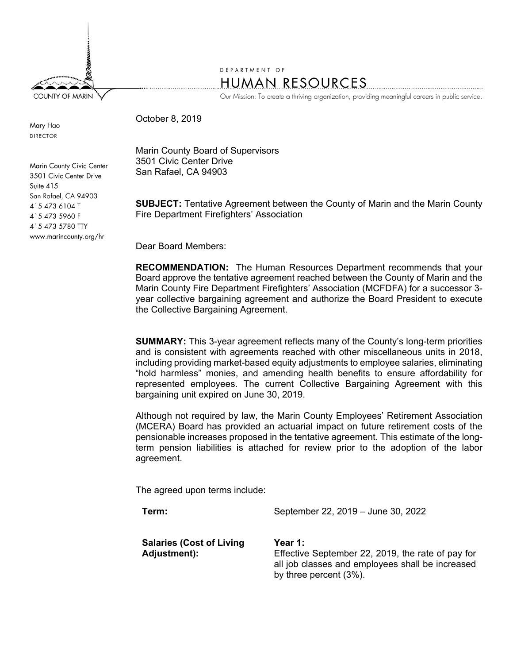**COUNTY OF MARIN** 

DEPARTMENT OF **HUMAN RESOURCES** 

Our Mission: To create a thriving organization, providing meaningful careers in public service.

October 8, 2019

Mary Hao **DIRECTOR** 

Marin County Civic Center 3501 Civic Center Drive Suite 415 San Rafael, CA 94903 415 473 6104 T 415 473 5960 F 415 473 5780 TTY www.marincounty.org/hr

Marin County Board of Supervisors 3501 Civic Center Drive San Rafael, CA 94903

**SUBJECT:** Tentative Agreement between the County of Marin and the Marin County Fire Department Firefighters' Association

Dear Board Members:

**RECOMMENDATION:** The Human Resources Department recommends that your Board approve the tentative agreement reached between the County of Marin and the Marin County Fire Department Firefighters' Association (MCFDFA) for a successor 3 year collective bargaining agreement and authorize the Board President to execute the Collective Bargaining Agreement.

**SUMMARY:** This 3-year agreement reflects many of the County's long-term priorities and is consistent with agreements reached with other miscellaneous units in 2018, including providing market-based equity adjustments to employee salaries, eliminating "hold harmless" monies, and amending health benefits to ensure affordability for represented employees. The current Collective Bargaining Agreement with this bargaining unit expired on June 30, 2019.

Although not required by law, the Marin County Employees' Retirement Association (MCERA) Board has provided an actuarial impact on future retirement costs of the pensionable increases proposed in the tentative agreement. This estimate of the longterm pension liabilities is attached for review prior to the adoption of the labor agreement.

The agreed upon terms include:

**Term:** September 22, 2019 – June 30, 2022

**Salaries (Cost of Living Adjustment):** 

**Year 1:** Effective September 22, 2019, the rate of pay for all job classes and employees shall be increased by three percent (3%).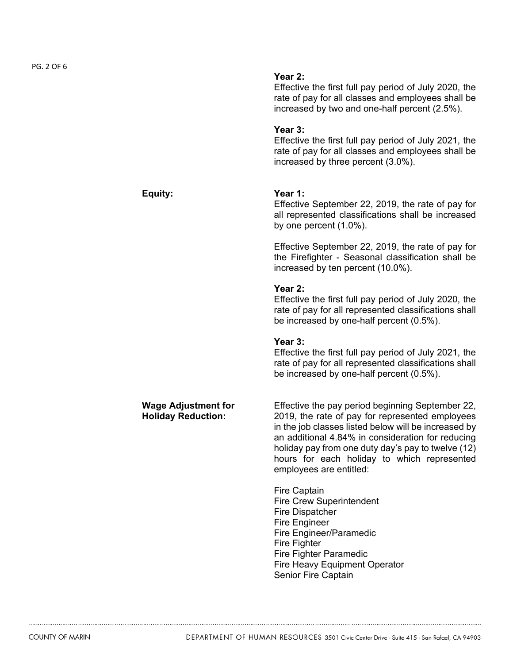|                                                         | Year 2:<br>Effective the first full pay period of July 2020, the<br>rate of pay for all classes and employees shall be<br>increased by two and one-half percent (2.5%).                                                                                                                                                                          |
|---------------------------------------------------------|--------------------------------------------------------------------------------------------------------------------------------------------------------------------------------------------------------------------------------------------------------------------------------------------------------------------------------------------------|
|                                                         | Year 3:<br>Effective the first full pay period of July 2021, the<br>rate of pay for all classes and employees shall be<br>increased by three percent (3.0%).                                                                                                                                                                                     |
| Equity:                                                 | Year 1:<br>Effective September 22, 2019, the rate of pay for<br>all represented classifications shall be increased<br>by one percent $(1.0\%)$ .                                                                                                                                                                                                 |
|                                                         | Effective September 22, 2019, the rate of pay for<br>the Firefighter - Seasonal classification shall be<br>increased by ten percent (10.0%).                                                                                                                                                                                                     |
|                                                         | Year 2:<br>Effective the first full pay period of July 2020, the<br>rate of pay for all represented classifications shall<br>be increased by one-half percent (0.5%).                                                                                                                                                                            |
|                                                         | Year 3:<br>Effective the first full pay period of July 2021, the<br>rate of pay for all represented classifications shall<br>be increased by one-half percent (0.5%).                                                                                                                                                                            |
| <b>Wage Adjustment for</b><br><b>Holiday Reduction:</b> | Effective the pay period beginning September 22,<br>2019, the rate of pay for represented employees<br>in the job classes listed below will be increased by<br>an additional 4.84% in consideration for reducing<br>holiday pay from one duty day's pay to twelve (12)<br>hours for each holiday to which represented<br>employees are entitled: |
|                                                         | Fire Captain<br><b>Fire Crew Superintendent</b><br><b>Fire Dispatcher</b><br><b>Fire Engineer</b><br>Fire Engineer/Paramedic<br><b>Fire Fighter</b><br><b>Fire Fighter Paramedic</b><br><b>Fire Heavy Equipment Operator</b>                                                                                                                     |

Senior Fire Captain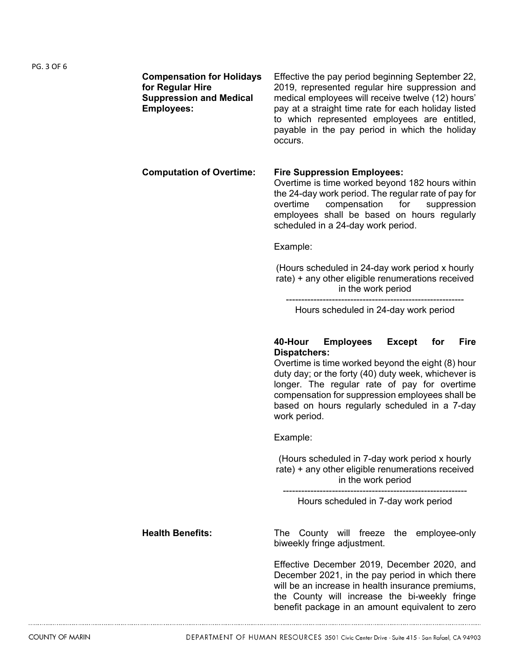| <b>Compensation for Holidays</b><br>for Regular Hire<br><b>Suppression and Medical</b><br><b>Employees:</b> | Effective the pay period beginning September 22,<br>2019, represented regular hire suppression and<br>medical employees will receive twelve (12) hours'<br>pay at a straight time rate for each holiday listed<br>to which represented employees are entitled,<br>payable in the pay period in which the holiday<br>occurs.                                               |  |  |  |  |  |  |
|-------------------------------------------------------------------------------------------------------------|---------------------------------------------------------------------------------------------------------------------------------------------------------------------------------------------------------------------------------------------------------------------------------------------------------------------------------------------------------------------------|--|--|--|--|--|--|
| <b>Computation of Overtime:</b>                                                                             | <b>Fire Suppression Employees:</b><br>Overtime is time worked beyond 182 hours within<br>the 24-day work period. The regular rate of pay for<br>compensation<br>overtime<br>for<br>suppression<br>employees shall be based on hours regularly<br>scheduled in a 24-day work period.                                                                                       |  |  |  |  |  |  |
|                                                                                                             | Example:                                                                                                                                                                                                                                                                                                                                                                  |  |  |  |  |  |  |
|                                                                                                             | (Hours scheduled in 24-day work period x hourly<br>rate) + any other eligible renumerations received<br>in the work period                                                                                                                                                                                                                                                |  |  |  |  |  |  |
|                                                                                                             | Hours scheduled in 24-day work period                                                                                                                                                                                                                                                                                                                                     |  |  |  |  |  |  |
|                                                                                                             | <b>Employees</b><br><b>Fire</b><br>40-Hour<br><b>Except</b><br>for<br><b>Dispatchers:</b><br>Overtime is time worked beyond the eight (8) hour<br>duty day; or the forty (40) duty week, whichever is<br>longer. The regular rate of pay for overtime<br>compensation for suppression employees shall be<br>based on hours regularly scheduled in a 7-day<br>work period. |  |  |  |  |  |  |
|                                                                                                             | Example:                                                                                                                                                                                                                                                                                                                                                                  |  |  |  |  |  |  |
|                                                                                                             | (Hours scheduled in 7-day work period x hourly<br>rate) + any other eligible renumerations received<br>in the work period                                                                                                                                                                                                                                                 |  |  |  |  |  |  |
|                                                                                                             | Hours scheduled in 7-day work period                                                                                                                                                                                                                                                                                                                                      |  |  |  |  |  |  |
| <b>Health Benefits:</b>                                                                                     | County will freeze the employee-only<br>The<br>biweekly fringe adjustment.                                                                                                                                                                                                                                                                                                |  |  |  |  |  |  |
|                                                                                                             | Effective December 2019, December 2020, and<br>December 2021, in the pay period in which there<br>will be an increase in health insurance premiums,<br>the County will increase the bi-weekly fringe                                                                                                                                                                      |  |  |  |  |  |  |

benefit package in an amount equivalent to zero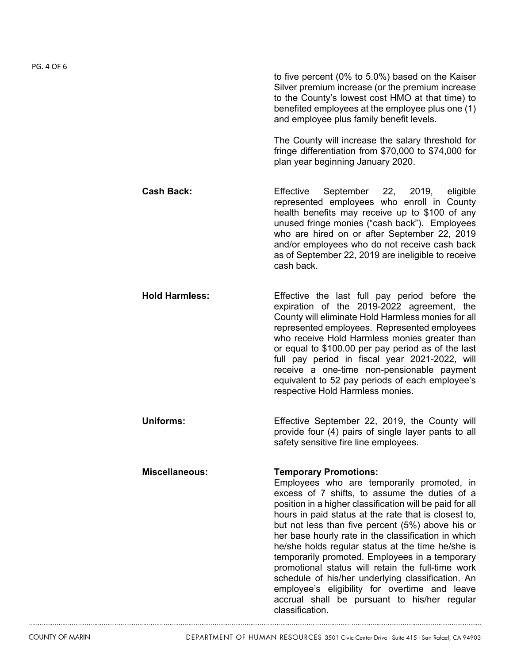to five percent (0% to 5.0%) based on the Kaiser Silver premium increase (or the premium increase to the County's lowest cost HMO at that time) to benefited employees at the employee plus one (1) and employee plus family benefit levels. The County will increase the salary threshold for fringe differentiation from \$70,000 to \$74,000 for plan year beginning January 2020. **Cash Back:** Effective September 22, 2019, eligible represented employees who enroll in County health benefits may receive up to \$100 of any unused fringe monies ("cash back"). Employees who are hired on or after September 22, 2019 and/or employees who do not receive cash back as of September 22, 2019 are ineligible to receive cash back. **Hold Harmless:** Effective the last full pay period before the expiration of the 2019-2022 agreement, the County will eliminate Hold Harmless monies for all represented employees. Represented employees who receive Hold Harmless monies greater than or equal to \$100.00 per pay period as of the last full pay period in fiscal year 2021-2022, will receive a one-time non-pensionable payment equivalent to 52 pay periods of each employee's respective Hold Harmless monies. **Uniforms:** Effective September 22, 2019, the County will provide four (4) pairs of single layer pants to all safety sensitive fire line employees. **Miscellaneous: Temporary Promotions:**  Employees who are temporarily promoted, in excess of 7 shifts, to assume the duties of a position in a higher classification will be paid for all hours in paid status at the rate that is closest to, but not less than five percent (5%) above his or her base hourly rate in the classification in which he/she holds regular status at the time he/she is temporarily promoted. Employees in a temporary promotional status will retain the full-time work schedule of his/her underlying classification. An employee's eligibility for overtime and leave accrual shall be pursuant to his/her regular

classification.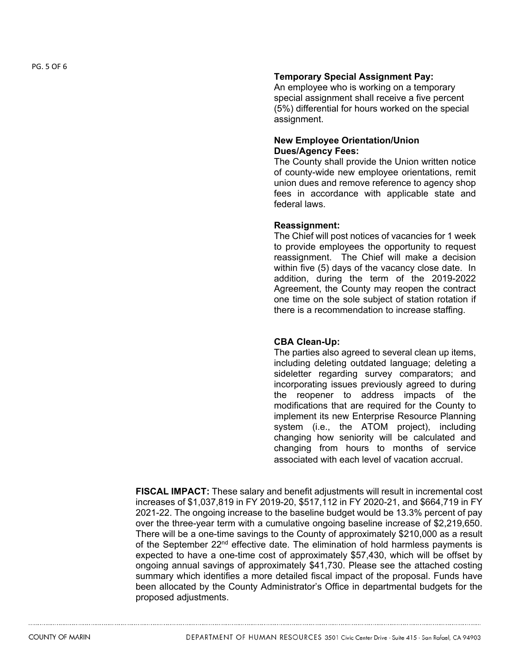## **Temporary Special Assignment Pay:**

An employee who is working on a temporary special assignment shall receive a five percent (5%) differential for hours worked on the special assignment.

## **New Employee Orientation/Union Dues/Agency Fees:**

The County shall provide the Union written notice of county-wide new employee orientations, remit union dues and remove reference to agency shop fees in accordance with applicable state and federal laws.

## **Reassignment:**

The Chief will post notices of vacancies for 1 week to provide employees the opportunity to request reassignment. The Chief will make a decision within five (5) days of the vacancy close date. In addition, during the term of the 2019-2022 Agreement, the County may reopen the contract one time on the sole subject of station rotation if there is a recommendation to increase staffing.

# **CBA Clean-Up:**

The parties also agreed to several clean up items, including deleting outdated language; deleting a sideletter regarding survey comparators; and incorporating issues previously agreed to during the reopener to address impacts of the modifications that are required for the County to implement its new Enterprise Resource Planning system (i.e., the ATOM project), including changing how seniority will be calculated and changing from hours to months of service associated with each level of vacation accrual.

**FISCAL IMPACT:** These salary and benefit adjustments will result in incremental cost increases of \$1,037,819 in FY 2019-20, \$517,112 in FY 2020-21, and \$664,719 in FY 2021-22. The ongoing increase to the baseline budget would be 13.3% percent of pay over the three-year term with a cumulative ongoing baseline increase of \$2,219,650. There will be a one-time savings to the County of approximately \$210,000 as a result of the September 22<sup>nd</sup> effective date. The elimination of hold harmless payments is expected to have a one-time cost of approximately \$57,430, which will be offset by ongoing annual savings of approximately \$41,730. Please see the attached costing summary which identifies a more detailed fiscal impact of the proposal. Funds have been allocated by the County Administrator's Office in departmental budgets for the proposed adjustments.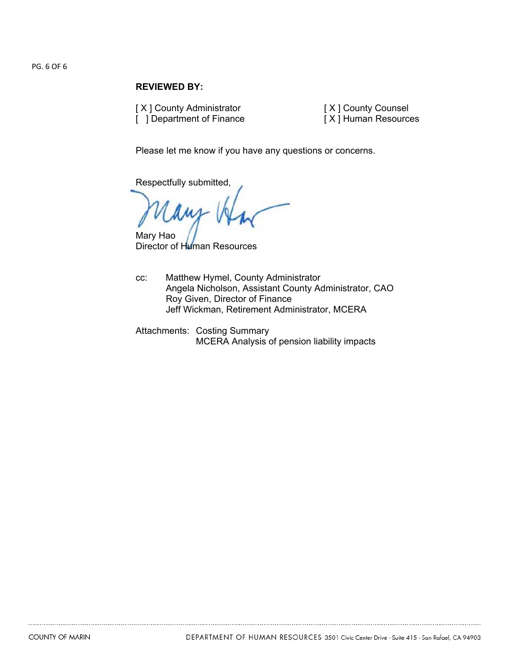#### PG. 6 OF 6

## **REVIEWED BY:**

[ X ] County Administrator [ ] Department of Finance [ X ] County Counsel [ X ] Human Resources

Please let me know if you have any questions or concerns.

Respectfully submitted,

Mary Hao

Director of Human Resources

- cc: Matthew Hymel, County Administrator Angela Nicholson, Assistant County Administrator, CAO Roy Given, Director of Finance Jeff Wickman, Retirement Administrator, MCERA
- Attachments: Costing Summary MCERA Analysis of pension liability impacts